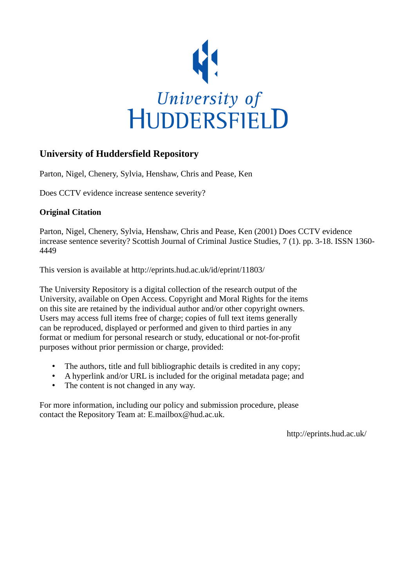

## **University of Huddersfield Repository**

Parton, Nigel, Chenery, Sylvia, Henshaw, Chris and Pease, Ken

Does CCTV evidence increase sentence severity?

## **Original Citation**

Parton, Nigel, Chenery, Sylvia, Henshaw, Chris and Pease, Ken (2001) Does CCTV evidence increase sentence severity? Scottish Journal of Criminal Justice Studies, 7 (1). pp. 3-18. ISSN 1360- 4449

This version is available at http://eprints.hud.ac.uk/id/eprint/11803/

The University Repository is a digital collection of the research output of the University, available on Open Access. Copyright and Moral Rights for the items on this site are retained by the individual author and/or other copyright owners. Users may access full items free of charge; copies of full text items generally can be reproduced, displayed or performed and given to third parties in any format or medium for personal research or study, educational or not-for-profit purposes without prior permission or charge, provided:

- The authors, title and full bibliographic details is credited in any copy;
- A hyperlink and/or URL is included for the original metadata page; and
- The content is not changed in any way.

For more information, including our policy and submission procedure, please contact the Repository Team at: E.mailbox@hud.ac.uk.

http://eprints.hud.ac.uk/